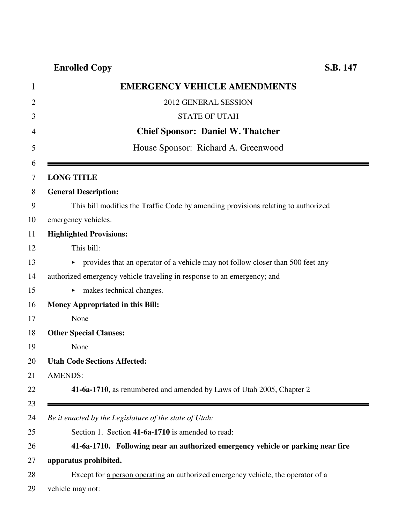## **Enrolled Copy S.B. 147**

| <b>EMERGENCY VEHICLE AMENDMENTS</b>                                               |
|-----------------------------------------------------------------------------------|
| 2012 GENERAL SESSION                                                              |
| <b>STATE OF UTAH</b>                                                              |
| <b>Chief Sponsor: Daniel W. Thatcher</b>                                          |
| House Sponsor: Richard A. Greenwood                                               |
|                                                                                   |
| <b>LONG TITLE</b>                                                                 |
| <b>General Description:</b>                                                       |
| This bill modifies the Traffic Code by amending provisions relating to authorized |
| emergency vehicles.                                                               |
| <b>Highlighted Provisions:</b>                                                    |
| This bill:                                                                        |
| • provides that an operator of a vehicle may not follow closer than 500 feet any  |
| authorized emergency vehicle traveling in response to an emergency; and           |
| $\blacktriangleright$ makes technical changes.                                    |
| <b>Money Appropriated in this Bill:</b>                                           |
| None                                                                              |
| <b>Other Special Clauses:</b>                                                     |
| None                                                                              |
| <b>Utah Code Sections Affected:</b>                                               |
| <b>AMENDS:</b>                                                                    |
| 41-6a-1710, as renumbered and amended by Laws of Utah 2005, Chapter 2             |
|                                                                                   |
| Be it enacted by the Legislature of the state of Utah:                            |
| Section 1. Section 41-6a-1710 is amended to read:                                 |
| 41-6a-1710. Following near an authorized emergency vehicle or parking near fire   |
| apparatus prohibited.                                                             |
| Except for a person operating an authorized emergency vehicle, the operator of a  |
| vehicle may not:                                                                  |